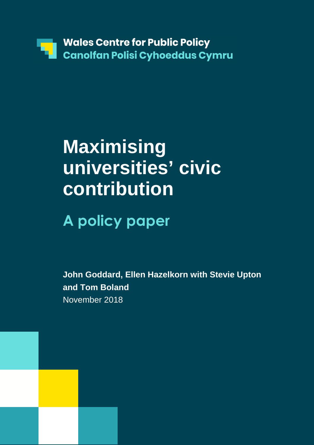

# **Maximising universities' civic contribution**

# **A policy paper**

**John Goddard, Ellen Hazelkorn with Stevie Upton and Tom Boland**  November 2018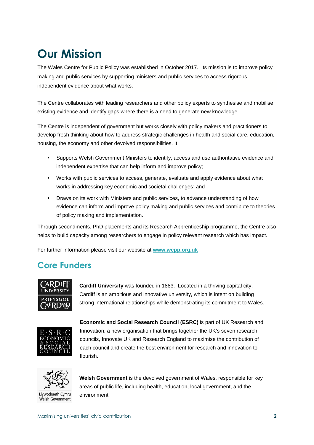## **Our Mission**

The Wales Centre for Public Policy was established in October 2017. Its mission is to improve policy making and public services by supporting ministers and public services to access rigorous independent evidence about what works.

The Centre collaborates with leading researchers and other policy experts to synthesise and mobilise existing evidence and identify gaps where there is a need to generate new knowledge.

The Centre is independent of government but works closely with policy makers and practitioners to develop fresh thinking about how to address strategic challenges in health and social care, education, housing, the economy and other devolved responsibilities. It:

- Supports Welsh Government Ministers to identify, access and use authoritative evidence and independent expertise that can help inform and improve policy;
- Works with public services to access, generate, evaluate and apply evidence about what works in addressing key economic and societal challenges; and
- Draws on its work with Ministers and public services, to advance understanding of how evidence can inform and improve policy making and public services and contribute to theories of policy making and implementation.

Through secondments, PhD placements and its Research Apprenticeship programme, the Centre also helps to build capacity among researchers to engage in policy relevant research which has impact.

For further information please visit our website at **www.wcpp.org.uk** 

### **Core Funders**



**Cardiff University** was founded in 1883. Located in a thriving capital city, Cardiff is an ambitious and innovative university, which is intent on building strong international relationships while demonstrating its commitment to Wales.



**Economic and Social Research Council (ESRC)** is part of UK Research and Innovation, a new organisation that brings together the UK's seven research councils, Innovate UK and Research England to maximise the contribution of each council and create the best environment for research and innovation to flourish.



Llywodraeth Cymru Welsh Government

**Welsh Government** is the devolved government of Wales, responsible for key areas of public life, including health, education, local government, and the environment.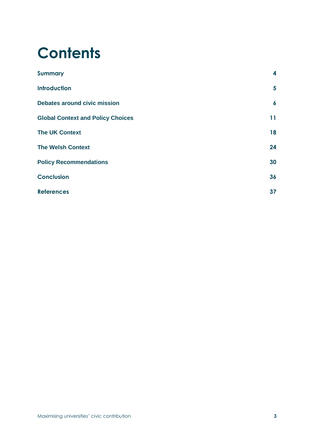# **Contents**

| <b>Summary</b>                           | 4                |
|------------------------------------------|------------------|
| <b>Introduction</b>                      | 5                |
| <b>Debates around civic mission</b>      | $\boldsymbol{6}$ |
| <b>Global Context and Policy Choices</b> | 11               |
| <b>The UK Context</b>                    | 18               |
| <b>The Welsh Context</b>                 | 24               |
| <b>Policy Recommendations</b>            | 30               |
| <b>Conclusion</b>                        | 36               |
| <b>References</b>                        | 37               |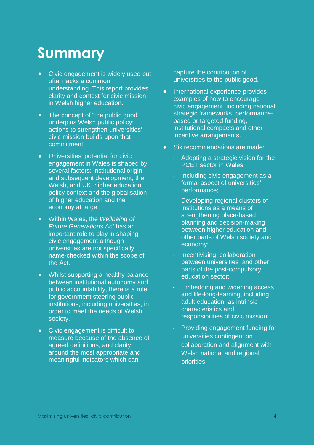## **Summary**

- **•** Civic engagement is widely used but often lacks a common understanding. This report provides clarity and context for civic mission in Welsh higher education.
- **•** The concept of "the public good" underpins Welsh public policy; actions to strengthen universities' civic mission builds upon that commitment.
- **•** Universities' potential for civic engagement in Wales is shaped by several factors: institutional origin and subsequent development, the Welsh, and UK, higher education policy context and the globalisation of higher education and the economy at large.
- **•** Within Wales, the Wellbeing of Future Generations Act has an important role to play in shaping civic engagement although universities are not specifically name-checked within the scope of the Act.
- **•** Whilst supporting a healthy balance between institutional autonomy and public accountability, there is a role for government steering public institutions, including universities, in order to meet the needs of Welsh society.
- **•** Civic engagement is difficult to measure because of the absence of agreed definitions, and clarity around the most appropriate and meaningful indicators which can

capture the contribution of universities to the public good.

- **•** International experience provides examples of how to encourage civic engagement including national strategic frameworks, performancebased or targeted funding, institutional compacts and other incentive arrangements.
- **•** Six recommendations are made:
	- Adopting a strategic vision for the PCET sector in Wales;
	- Including civic engagement as a formal aspect of universities' performance;
	- Developing regional clusters of institutions as a means of strengthening place-based planning and decision-making between higher education and other parts of Welsh society and economy;
	- Incentivising collaboration between universities and other parts of the post-compulsory education sector;
	- Embedding and widening access and life-long-learning, including adult education, as intrinsic characteristics and responsibilities of civic mission;
	- Providing engagement funding for universities contingent on collaboration and alignment with Welsh national and regional priorities.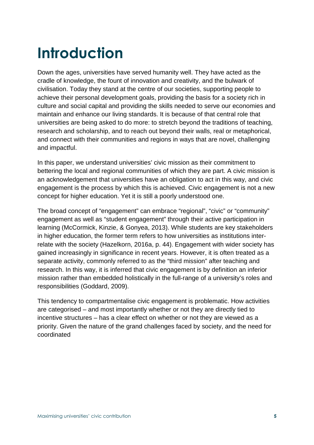# **Introduction**

Down the ages, universities have served humanity well. They have acted as the cradle of knowledge, the fount of innovation and creativity, and the bulwark of civilisation. Today they stand at the centre of our societies, supporting people to achieve their personal development goals, providing the basis for a society rich in culture and social capital and providing the skills needed to serve our economies and maintain and enhance our living standards. It is because of that central role that universities are being asked to do more: to stretch beyond the traditions of teaching, research and scholarship, and to reach out beyond their walls, real or metaphorical, and connect with their communities and regions in ways that are novel, challenging and impactful.

In this paper, we understand universities' civic mission as their commitment to bettering the local and regional communities of which they are part. A civic mission is an acknowledgement that universities have an obligation to act in this way, and civic engagement is the process by which this is achieved. Civic engagement is not a new concept for higher education. Yet it is still a poorly understood one.

The broad concept of "engagement" can embrace "regional", "civic" or "community" engagement as well as "student engagement" through their active participation in learning (McCormick, Kinzie, & Gonyea, 2013). While students are key stakeholders in higher education, the former term refers to how universities as institutions interrelate with the society (Hazelkorn, 2016a, p. 44). Engagement with wider society has gained increasingly in significance in recent years. However, it is often treated as a separate activity, commonly referred to as the "third mission" after teaching and research. In this way, it is inferred that civic engagement is by definition an inferior mission rather than embedded holistically in the full-range of a university's roles and responsibilities (Goddard, 2009).

This tendency to compartmentalise civic engagement is problematic. How activities are categorised – and most importantly whether or not they are directly tied to incentive structures – has a clear effect on whether or not they are viewed as a priority. Given the nature of the grand challenges faced by society, and the need for coordinated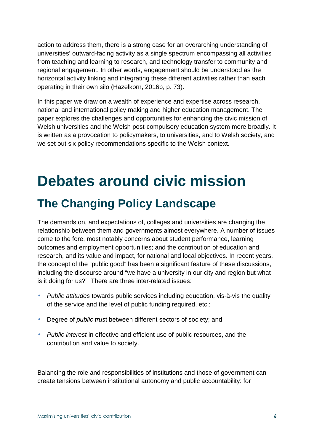action to address them, there is a strong case for an overarching understanding of universities' outward-facing activity as a single spectrum encompassing all activities from teaching and learning to research, and technology transfer to community and regional engagement. In other words, engagement should be understood as the horizontal activity linking and integrating these different activities rather than each operating in their own silo (Hazelkorn, 2016b, p. 73).

In this paper we draw on a wealth of experience and expertise across research, national and international policy making and higher education management. The paper explores the challenges and opportunities for enhancing the civic mission of Welsh universities and the Welsh post-compulsory education system more broadly. It is written as a provocation to policymakers, to universities, and to Welsh society, and we set out six policy recommendations specific to the Welsh context.

## **Debates around civic mission The Changing Policy Landscape**

The demands on, and expectations of, colleges and universities are changing the relationship between them and governments almost everywhere. A number of issues come to the fore, most notably concerns about student performance, learning outcomes and employment opportunities; and the contribution of education and research, and its value and impact, for national and local objectives. In recent years, the concept of the "public good" has been a significant feature of these discussions, including the discourse around "we have a university in our city and region but what is it doing for us?" There are three inter-related issues:

- Public attitudes towards public services including education, vis-à-vis the quality of the service and the level of public funding required, etc.;
- Degree of *public trust* between different sectors of society; and
- Public interest in effective and efficient use of public resources, and the contribution and value to society.

Balancing the role and responsibilities of institutions and those of government can create tensions between institutional autonomy and public accountability: for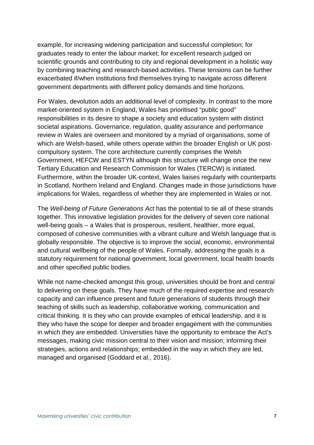example, for increasing widening participation and successful completion; for graduates ready to enter the labour market; for excellent research judged on scientific grounds and contributing to city and regional development in a holistic way by combining teaching and research-based activities. These tensions can be further exacerbated if/when institutions find themselves trying to navigate across different government departments with different policy demands and time horizons.

For Wales, devolution adds an additional level of complexity. In contrast to the more market-oriented system in England, Wales has prioritised "public good" responsibilities in its desire to shape a society and education system with distinct societal aspirations. Governance, regulation, quality assurance and performance review in Wales are overseen and monitored by a myriad of organisations, some of which are Welsh-based, while others operate within the broader English or UK postcompulsory system. The core architecture currently comprises the Welsh Government, HEFCW and ESTYN although this structure will change once the new Tertiary Education and Research Commission for Wales (TERCW) is initiated. Furthermore, within the broader UK-context, Wales liaises regularly with counterparts in Scotland, Northern Ireland and England. Changes made in those jurisdictions have implications for Wales, regardless of whether they are implemented in Wales or not.

The Well-being of Future Generations Act has the potential to tie all of these strands together. This innovative legislation provides for the delivery of seven core national well-being goals – a Wales that is prosperous, resilient, healthier, more equal, composed of cohesive communities with a vibrant culture and Welsh language that is globally responsible. The objective is to improve the social, economic, environmental and cultural wellbeing of the people of Wales. Formally, addressing the goals is a statutory requirement for national government, local government, local health boards and other specified public bodies.

While not name-checked amongst this group, universities should be front and central to delivering on these goals. They have much of the required expertise and research capacity and can influence present and future generations of students through their teaching of skills such as leadership, collaborative working, communication and critical thinking. It is they who can provide examples of ethical leadership, and it is they who have the scope for deeper and broader engagement with the communities in which they are embedded. Universities have the opportunity to embrace the Act's messages, making civic mission central to their vision and mission; informing their strategies, actions and relationships; embedded in the way in which they are led, managed and organised (Goddard et al., 2016).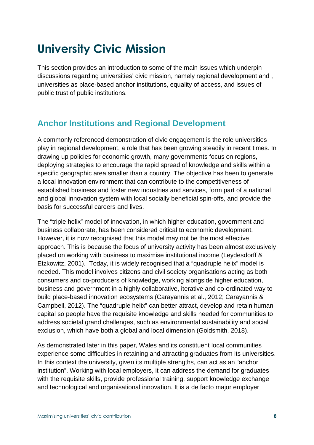## **University Civic Mission**

This section provides an introduction to some of the main issues which underpin discussions regarding universities' civic mission, namely regional development and , universities as place-based anchor institutions, equality of access, and issues of public trust of public institutions.

### **Anchor Institutions and Regional Development**

A commonly referenced demonstration of civic engagement is the role universities play in regional development, a role that has been growing steadily in recent times. In drawing up policies for economic growth, many governments focus on regions, deploying strategies to encourage the rapid spread of knowledge and skills within a specific geographic area smaller than a country. The objective has been to generate a local innovation environment that can contribute to the competitiveness of established business and foster new industries and services, form part of a national and global innovation system with local socially beneficial spin-offs, and provide the basis for successful careers and lives.

The "triple helix" model of innovation, in which higher education, government and business collaborate, has been considered critical to economic development. However, it is now recognised that this model may not be the most effective approach. This is because the focus of university activity has been almost exclusively placed on working with business to maximise institutional income (Leydesdorff & Etzkowitz, 2001). Today, it is widely recognised that a "quadruple helix" model is needed. This model involves citizens and civil society organisations acting as both consumers and co-producers of knowledge, working alongside higher education, business and government in a highly collaborative, iterative and co-ordinated way to build place-based innovation ecosystems (Carayannis et al., 2012; Carayannis & Campbell, 2012). The "quadruple helix" can better attract, develop and retain human capital so people have the requisite knowledge and skills needed for communities to address societal grand challenges, such as environmental sustainability and social exclusion, which have both a global and local dimension (Goldsmith, 2018).

As demonstrated later in this paper, Wales and its constituent local communities experience some difficulties in retaining and attracting graduates from its universities. In this context the university, given its multiple strengths, can act as an "anchor institution". Working with local employers, it can address the demand for graduates with the requisite skills, provide professional training, support knowledge exchange and technological and organisational innovation. It is a de facto major employer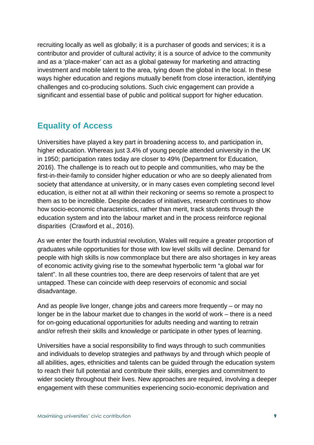recruiting locally as well as globally; it is a purchaser of goods and services; it is a contributor and provider of cultural activity; it is a source of advice to the community and as a 'place-maker' can act as a global gateway for marketing and attracting investment and mobile talent to the area, tying down the global in the local. In these ways higher education and regions mutually benefit from close interaction, identifying challenges and co-producing solutions. Such civic engagement can provide a significant and essential base of public and political support for higher education.

#### **Equality of Access**

Universities have played a key part in broadening access to, and participation in, higher education. Whereas just 3.4% of young people attended university in the UK in 1950; participation rates today are closer to 49% (Department for Education, 2016). The challenge is to reach out to people and communities, who may be the first-in-their-family to consider higher education or who are so deeply alienated from society that attendance at university, or in many cases even completing second level education, is either not at all within their reckoning or seems so remote a prospect to them as to be incredible. Despite decades of initiatives, research continues to show how socio-economic characteristics, rather than merit, track students through the education system and into the labour market and in the process reinforce regional disparities (Crawford et al., 2016).

As we enter the fourth industrial revolution, Wales will require a greater proportion of graduates while opportunities for those with low level skills will decline. Demand for people with high skills is now commonplace but there are also shortages in key areas of economic activity giving rise to the somewhat hyperbolic term "a global war for talent". In all these countries too, there are deep reservoirs of talent that are yet untapped. These can coincide with deep reservoirs of economic and social disadvantage.

And as people live longer, change jobs and careers more frequently – or may no longer be in the labour market due to changes in the world of work – there is a need for on-going educational opportunities for adults needing and wanting to retrain and/or refresh their skills and knowledge or participate in other types of learning.

Universities have a social responsibility to find ways through to such communities and individuals to develop strategies and pathways by and through which people of all abilities, ages, ethnicities and talents can be guided through the education system to reach their full potential and contribute their skills, energies and commitment to wider society throughout their lives. New approaches are required, involving a deeper engagement with these communities experiencing socio-economic deprivation and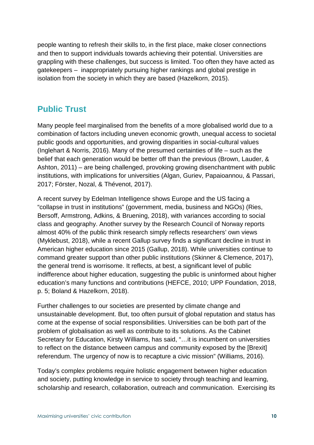people wanting to refresh their skills to, in the first place, make closer connections and then to support individuals towards achieving their potential. Universities are grappling with these challenges, but success is limited. Too often they have acted as gatekeepers – inappropriately pursuing higher rankings and global prestige in isolation from the society in which they are based (Hazelkorn, 2015).

#### **Public Trust**

Many people feel marginalised from the benefits of a more globalised world due to a combination of factors including uneven economic growth, unequal access to societal public goods and opportunities, and growing disparities in social-cultural values (Inglehart & Norris, 2016). Many of the presumed certainties of life – such as the belief that each generation would be better off than the previous (Brown, Lauder, & Ashton, 2011) – are being challenged, provoking growing disenchantment with public institutions, with implications for universities (Algan, Guriev, Papaioannou, & Passari, 2017; Förster, Nozal, & Thévenot, 2017).

A recent survey by Edelman Intelligence shows Europe and the US facing a "collapse in trust in institutions" (government, media, business and NGOs) (Ries, Bersoff, Armstrong, Adkins, & Bruening, 2018), with variances according to social class and geography. Another survey by the Research Council of Norway reports almost 40% of the public think research simply reflects researchers' own views (Myklebust, 2018), while a recent Gallup survey finds a significant decline in trust in American higher education since 2015 (Gallup, 2018). While universities continue to command greater support than other public institutions (Skinner & Clemence, 2017), the general trend is worrisome. It reflects, at best, a significant level of public indifference about higher education, suggesting the public is uninformed about higher education's many functions and contributions (HEFCE, 2010; UPP Foundation, 2018, p. 5; Boland & Hazelkorn, 2018).

Further challenges to our societies are presented by climate change and unsustainable development. But, too often pursuit of global reputation and status has come at the expense of social responsibilities. Universities can be both part of the problem of globalisation as well as contribute to its solutions. As the Cabinet Secretary for Education, Kirsty Williams, has said, "…it is incumbent on universities to reflect on the distance between campus and community exposed by the [Brexit] referendum. The urgency of now is to recapture a civic mission" (Williams, 2016).

Today's complex problems require holistic engagement between higher education and society, putting knowledge in service to society through teaching and learning, scholarship and research, collaboration, outreach and communication. Exercising its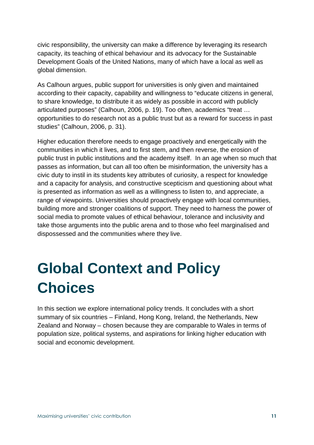civic responsibility, the university can make a difference by leveraging its research capacity, its teaching of ethical behaviour and its advocacy for the Sustainable Development Goals of the United Nations, many of which have a local as well as global dimension.

As Calhoun argues, public support for universities is only given and maintained according to their capacity, capability and willingness to "educate citizens in general, to share knowledge, to distribute it as widely as possible in accord with publicly articulated purposes" (Calhoun, 2006, p. 19). Too often, academics "treat … opportunities to do research not as a public trust but as a reward for success in past studies" (Calhoun, 2006, p. 31).

Higher education therefore needs to engage proactively and energetically with the communities in which it lives, and to first stem, and then reverse, the erosion of public trust in public institutions and the academy itself. In an age when so much that passes as information, but can all too often be misinformation, the university has a civic duty to instil in its students key attributes of curiosity, a respect for knowledge and a capacity for analysis, and constructive scepticism and questioning about what is presented as information as well as a willingness to listen to, and appreciate, a range of viewpoints. Universities should proactively engage with local communities, building more and stronger coalitions of support. They need to harness the power of social media to promote values of ethical behaviour, tolerance and inclusivity and take those arguments into the public arena and to those who feel marginalised and dispossessed and the communities where they live.

# **Global Context and Policy Choices**

In this section we explore international policy trends. It concludes with a short summary of six countries – Finland, Hong Kong, Ireland, the Netherlands, New Zealand and Norway – chosen because they are comparable to Wales in terms of population size, political systems, and aspirations for linking higher education with social and economic development.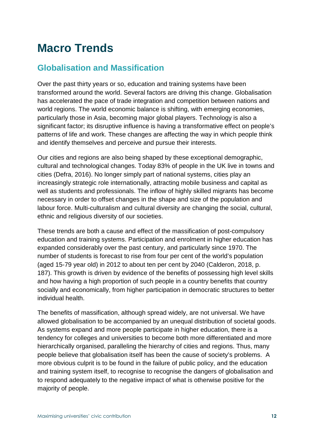## **Macro Trends**

### **Globalisation and Massification**

Over the past thirty years or so, education and training systems have been transformed around the world. Several factors are driving this change. Globalisation has accelerated the pace of trade integration and competition between nations and world regions. The world economic balance is shifting, with emerging economies, particularly those in Asia, becoming major global players. Technology is also a significant factor; its disruptive influence is having a transformative effect on people's patterns of life and work. These changes are affecting the way in which people think and identify themselves and perceive and pursue their interests.

Our cities and regions are also being shaped by these exceptional demographic, cultural and technological changes. Today 83% of people in the UK live in towns and cities (Defra, 2016). No longer simply part of national systems, cities play an increasingly strategic role internationally, attracting mobile business and capital as well as students and professionals. The inflow of highly skilled migrants has become necessary in order to offset changes in the shape and size of the population and labour force. Multi-culturalism and cultural diversity are changing the social, cultural, ethnic and religious diversity of our societies.

These trends are both a cause and effect of the massification of post-compulsory education and training systems. Participation and enrolment in higher education has expanded considerably over the past century, and particularly since 1970. The number of students is forecast to rise from four per cent of the world's population (aged 15-79 year old) in 2012 to about ten per cent by 2040 (Calderon, 2018, p. 187). This growth is driven by evidence of the benefits of possessing high level skills and how having a high proportion of such people in a country benefits that country socially and economically, from higher participation in democratic structures to better individual health.

The benefits of massification, although spread widely, are not universal. We have allowed globalisation to be accompanied by an unequal distribution of societal goods. As systems expand and more people participate in higher education, there is a tendency for colleges and universities to become both more differentiated and more hierarchically organised, paralleling the hierarchy of cities and regions. Thus, many people believe that globalisation itself has been the cause of society's problems. A more obvious culprit is to be found in the failure of public policy, and the education and training system itself, to recognise to recognise the dangers of globalisation and to respond adequately to the negative impact of what is otherwise positive for the majority of people.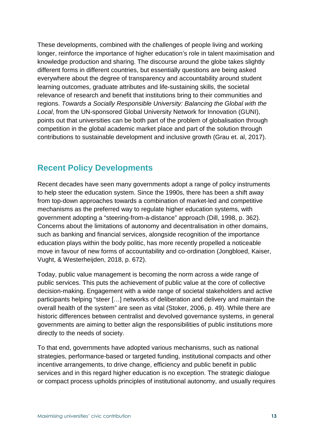These developments, combined with the challenges of people living and working longer, reinforce the importance of higher education's role in talent maximisation and knowledge production and sharing. The discourse around the globe takes slightly different forms in different countries, but essentially questions are being asked everywhere about the degree of transparency and accountability around student learning outcomes, graduate attributes and life-sustaining skills, the societal relevance of research and benefit that institutions bring to their communities and regions. Towards a Socially Responsible University: Balancing the Global with the Local, from the UN-sponsored Global University Network for Innovation (GUNI), points out that universities can be both part of the problem of globalisation through competition in the global academic market place and part of the solution through contributions to sustainable development and inclusive growth (Grau et. al, 2017).

#### **Recent Policy Developments**

Recent decades have seen many governments adopt a range of policy instruments to help steer the education system. Since the 1990s, there has been a shift away from top-down approaches towards a combination of market-led and competitive mechanisms as the preferred way to regulate higher education systems, with government adopting a "steering-from-a-distance" approach (Dill, 1998, p. 362). Concerns about the limitations of autonomy and decentralisation in other domains, such as banking and financial services, alongside recognition of the importance education plays within the body politic, has more recently propelled a noticeable move in favour of new forms of accountability and co-ordination (Jongbloed, Kaiser, Vught, & Westerheijden, 2018, p. 672).

Today, public value management is becoming the norm across a wide range of public services. This puts the achievement of public value at the core of collective decision-making. Engagement with a wide range of societal stakeholders and active participants helping "steer […] networks of deliberation and delivery and maintain the overall health of the system" are seen as vital (Stoker, 2006, p. 49). While there are historic differences between centralist and devolved governance systems, in general governments are aiming to better align the responsibilities of public institutions more directly to the needs of society.

To that end, governments have adopted various mechanisms, such as national strategies, performance-based or targeted funding, institutional compacts and other incentive arrangements, to drive change, efficiency and public benefit in public services and in this regard higher education is no exception. The strategic dialogue or compact process upholds principles of institutional autonomy, and usually requires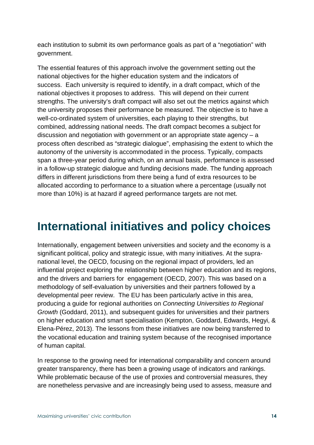each institution to submit its own performance goals as part of a "negotiation" with government.

The essential features of this approach involve the government setting out the national objectives for the higher education system and the indicators of success. Each university is required to identify, in a draft compact, which of the national objectives it proposes to address. This will depend on their current strengths. The university's draft compact will also set out the metrics against which the university proposes their performance be measured. The objective is to have a well-co-ordinated system of universities, each playing to their strengths, but combined, addressing national needs. The draft compact becomes a subject for discussion and negotiation with government or an appropriate state agency – a process often described as "strategic dialogue", emphasising the extent to which the autonomy of the university is accommodated in the process. Typically, compacts span a three-year period during which, on an annual basis, performance is assessed in a follow-up strategic dialogue and funding decisions made. The funding approach differs in different jurisdictions from there being a fund of extra resources to be allocated according to performance to a situation where a percentage (usually not more than 10%) is at hazard if agreed performance targets are not met.

## **International initiatives and policy choices**

Internationally, engagement between universities and society and the economy is a significant political, policy and strategic issue, with many initiatives. At the supranational level, the OECD, focusing on the regional impact of providers, led an influential project exploring the relationship between higher education and its regions, and the drivers and barriers for engagement (OECD, 2007). This was based on a methodology of self-evaluation by universities and their partners followed by a developmental peer review. The EU has been particularly active in this area, producing a guide for regional authorities on Connecting Universities to Regional Growth (Goddard, 2011), and subsequent guides for universities and their partners on higher education and smart specialisation (Kempton, Goddard, Edwards, Hegyi, & Elena-Pérez, 2013). The lessons from these initiatives are now being transferred to the vocational education and training system because of the recognised importance of human capital.

In response to the growing need for international comparability and concern around greater transparency, there has been a growing usage of indicators and rankings. While problematic because of the use of proxies and controversial measures, they are nonetheless pervasive and are increasingly being used to assess, measure and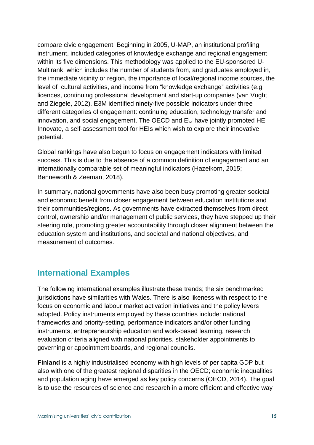compare civic engagement. Beginning in 2005, U-MAP, an institutional profiling instrument, included categories of knowledge exchange and regional engagement within its five dimensions. This methodology was applied to the EU-sponsored U-Multirank, which includes the number of students from, and graduates employed in, the immediate vicinity or region, the importance of local/regional income sources, the level of cultural activities, and income from "knowledge exchange" activities (e.g. licences, continuing professional development and start-up companies (van Vught and Ziegele, 2012). E3M identified ninety-five possible indicators under three different categories of engagement: continuing education, technology transfer and innovation, and social engagement. The OECD and EU have jointly promoted HE Innovate, a self-assessment tool for HEIs which wish to explore their innovative potential.

Global rankings have also begun to focus on engagement indicators with limited success. This is due to the absence of a common definition of engagement and an internationally comparable set of meaningful indicators (Hazelkorn, 2015; Benneworth & Zeeman, 2018).

In summary, national governments have also been busy promoting greater societal and economic benefit from closer engagement between education institutions and their communities/regions. As governments have extracted themselves from direct control, ownership and/or management of public services, they have stepped up their steering role, promoting greater accountability through closer alignment between the education system and institutions, and societal and national objectives, and measurement of outcomes.

### **International Examples**

The following international examples illustrate these trends; the six benchmarked jurisdictions have similarities with Wales. There is also likeness with respect to the focus on economic and labour market activation initiatives and the policy levers adopted. Policy instruments employed by these countries include: national frameworks and priority-setting, performance indicators and/or other funding instruments, entrepreneurship education and work-based learning, research evaluation criteria aligned with national priorities, stakeholder appointments to governing or appointment boards, and regional councils.

**Finland** is a highly industrialised economy with high levels of per capita GDP but also with one of the greatest regional disparities in the OECD; economic inequalities and population aging have emerged as key policy concerns (OECD, 2014). The goal is to use the resources of science and research in a more efficient and effective way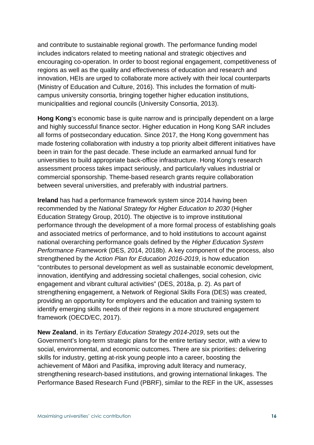and contribute to sustainable regional growth. The performance funding model includes indicators related to meeting national and strategic objectives and encouraging co-operation. In order to boost regional engagement, competitiveness of regions as well as the quality and effectiveness of education and research and innovation, HEIs are urged to collaborate more actively with their local counterparts (Ministry of Education and Culture, 2016). This includes the formation of multicampus university consortia, bringing together higher education institutions, municipalities and regional councils (University Consortia, 2013).

**Hong Kong**'s economic base is quite narrow and is principally dependent on a large and highly successful finance sector. Higher education in Hong Kong SAR includes all forms of postsecondary education. Since 2017, the Hong Kong government has made fostering collaboration with industry a top priority albeit different initiatives have been in train for the past decade. These include an earmarked annual fund for universities to build appropriate back-office infrastructure. Hong Kong's research assessment process takes impact seriously, and particularly values industrial or commercial sponsorship. Theme-based research grants require collaboration between several universities, and preferably with industrial partners.

**Ireland** has had a performance framework system since 2014 having been recommended by the National Strategy for Higher Education to 2030 (Higher Education Strategy Group, 2010). The objective is to improve institutional performance through the development of a more formal process of establishing goals and associated metrics of performance, and to hold institutions to account against national overarching performance goals defined by the Higher Education System Performance Framework (DES, 2014, 2018b). A key component of the process, also strengthened by the Action Plan for Education 2016-2019, is how education "contributes to personal development as well as sustainable economic development, innovation, identifying and addressing societal challenges, social cohesion, civic engagement and vibrant cultural activities" (DES, 2018a, p. 2). As part of strengthening engagement, a Network of Regional Skills Fora (DES) was created, providing an opportunity for employers and the education and training system to identify emerging skills needs of their regions in a more structured engagement framework (OECD/EC, 2017).

**New Zealand**, in its Tertiary Education Strategy 2014-2019, sets out the Government's long-term strategic plans for the entire tertiary sector, with a view to social, environmental, and economic outcomes. There are six priorities: delivering skills for industry, getting at-risk young people into a career, boosting the achievement of Māori and Pasifika, improving adult literacy and numeracy, strengthening research-based institutions, and growing international linkages. The Performance Based Research Fund (PBRF), similar to the REF in the UK, assesses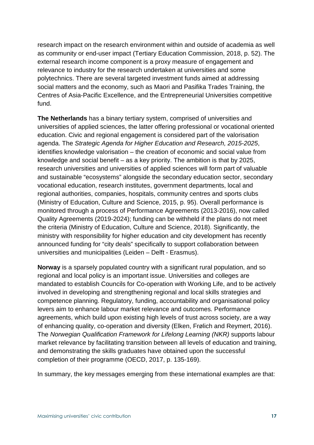research impact on the research environment within and outside of academia as well as community or end-user impact (Tertiary Education Commission, 2018, p. 52). The external research income component is a proxy measure of engagement and relevance to industry for the research undertaken at universities and some polytechnics. There are several targeted investment funds aimed at addressing social matters and the economy, such as Maori and Pasifika Trades Training, the Centres of Asia-Pacific Excellence, and the Entrepreneurial Universities competitive fund.

**The Netherlands** has a binary tertiary system, comprised of universities and universities of applied sciences, the latter offering professional or vocational oriented education. Civic and regional engagement is considered part of the valorisation agenda. The Strategic Agenda for Higher Education and Research, 2015-2025, identifies knowledge valorisation – the creation of economic and social value from knowledge and social benefit – as a key priority. The ambition is that by 2025, research universities and universities of applied sciences will form part of valuable and sustainable "ecosystems" alongside the secondary education sector, secondary vocational education, research institutes, government departments, local and regional authorities, companies, hospitals, community centres and sports clubs (Ministry of Education, Culture and Science, 2015, p. 95). Overall performance is monitored through a process of Performance Agreements (2013-2016), now called Quality Agreements (2019-2024); funding can be withheld if the plans do not meet the criteria (Ministry of Education, Culture and Science, 2018). Significantly, the ministry with responsibility for higher education and city development has recently announced funding for "city deals" specifically to support collaboration between universities and municipalities (Leiden – Delft - Erasmus).

**Norway** is a sparsely populated country with a significant rural population, and so regional and local policy is an important issue. Universities and colleges are mandated to establish Councils for Co-operation with Working Life, and to be actively involved in developing and strengthening regional and local skills strategies and competence planning. Regulatory, funding, accountability and organisational policy levers aim to enhance labour market relevance and outcomes. Performance agreements, which build upon existing high levels of trust across society, are a way of enhancing quality, co-operation and diversity (Elken, Frølich and Reymert, 2016). The Norwegian Qualification Framework for Lifelong Learning (NKR) supports labour market relevance by facilitating transition between all levels of education and training, and demonstrating the skills graduates have obtained upon the successful completion of their programme (OECD, 2017, p. 135-169).

In summary, the key messages emerging from these international examples are that: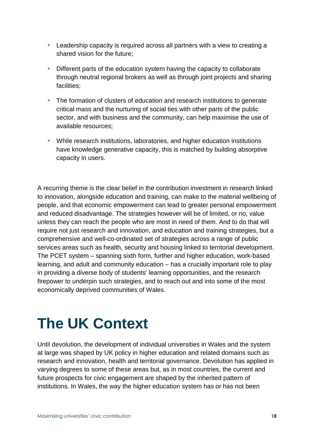- Leadership capacity is required across all partners with a view to creating a shared vision for the future;
- Different parts of the education system having the capacity to collaborate through neutral regional brokers as well as through joint projects and sharing facilities;
- The formation of clusters of education and research institutions to generate critical mass and the nurturing of social ties with other parts of the public sector, and with business and the community, can help maximise the use of available resources;
- While research institutions, laboratories, and higher education institutions have knowledge generative capacity, this is matched by building absorptive capacity in users.

A recurring theme is the clear belief in the contribution investment in research linked to innovation, alongside education and training, can make to the material wellbeing of people, and that economic empowerment can lead to greater personal empowerment and reduced disadvantage. The strategies however will be of limited, or no, value unless they can reach the people who are most in need of them. And to do that will require not just research and innovation, and education and training strategies, but a comprehensive and well-co-ordinated set of strategies across a range of public services areas such as health, security and housing linked to territorial development. The PCET system – spanning sixth form, further and higher education, work-based learning, and adult and community education – has a crucially important role to play in providing a diverse body of students' learning opportunities, and the research firepower to underpin such strategies, and to reach out and into some of the most economically deprived communities of Wales.

## **The UK Context**

Until devolution, the development of individual universities in Wales and the system at large was shaped by UK policy in higher education and related domains such as research and innovation, health and territorial governance. Devolution has applied in varying degrees to some of these areas but, as in most countries, the current and future prospects for civic engagement are shaped by the inherited pattern of institutions. In Wales, the way the higher education system has or has not been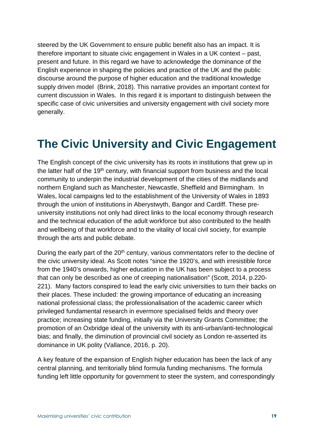steered by the UK Government to ensure public benefit also has an impact. It is therefore important to situate civic engagement in Wales in a UK context – past, present and future. In this regard we have to acknowledge the dominance of the English experience in shaping the policies and practice of the UK and the public discourse around the purpose of higher education and the traditional knowledge supply driven model (Brink, 2018). This narrative provides an important context for current discussion in Wales. In this regard it is important to distinguish between the specific case of civic universities and university engagement with civil society more generally.

## **The Civic University and Civic Engagement**

The English concept of the civic university has its roots in institutions that grew up in the latter half of the 19<sup>th</sup> century, with financial support from business and the local community to underpin the industrial development of the cities of the midlands and northern England such as Manchester, Newcastle, Sheffield and Birmingham. In Wales, local campaigns led to the establishment of the University of Wales in 1893 through the union of institutions in Aberystwyth, Bangor and Cardiff. These preuniversity institutions not only had direct links to the local economy through research and the technical education of the adult workforce but also contributed to the health and wellbeing of that workforce and to the vitality of local civil society, for example through the arts and public debate.

During the early part of the 20<sup>th</sup> century, various commentators refer to the decline of the civic university ideal. As Scott notes "since the 1920's, and with irresistible force from the 1940's onwards, higher education in the UK has been subject to a process that can only be described as one of creeping nationalisation" (Scott, 2014, p.220- 221). Many factors conspired to lead the early civic universities to turn their backs on their places. These included: the growing importance of educating an increasing national professional class; the professionalisation of the academic career which privileged fundamental research in evermore specialised fields and theory over practice; increasing state funding, initially via the University Grants Committee; the promotion of an Oxbridge ideal of the university with its anti-urban/anti-technological bias; and finally, the diminution of provincial civil society as London re-asserted its dominance in UK polity (Vallance, 2016, p. 20).

A key feature of the expansion of English higher education has been the lack of any central planning, and territorially blind formula funding mechanisms. The formula funding left little opportunity for government to steer the system, and correspondingly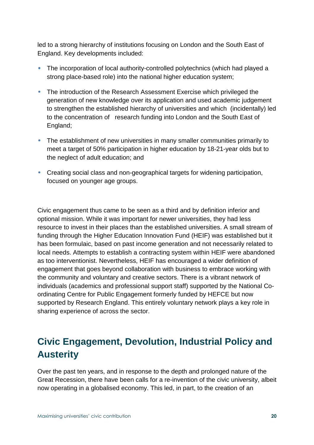led to a strong hierarchy of institutions focusing on London and the South East of England. Key developments included:

- The incorporation of local authority-controlled polytechnics (which had played a strong place-based role) into the national higher education system;
- The introduction of the Research Assessment Exercise which privileged the generation of new knowledge over its application and used academic judgement to strengthen the established hierarchy of universities and which (incidentally) led to the concentration of research funding into London and the South East of England;
- The establishment of new universities in many smaller communities primarily to meet a target of 50% participation in higher education by 18-21-year olds but to the neglect of adult education; and
- Creating social class and non-geographical targets for widening participation, focused on younger age groups.

Civic engagement thus came to be seen as a third and by definition inferior and optional mission. While it was important for newer universities, they had less resource to invest in their places than the established universities. A small stream of funding through the Higher Education Innovation Fund (HEIF) was established but it has been formulaic, based on past income generation and not necessarily related to local needs. Attempts to establish a contracting system within HEIF were abandoned as too interventionist. Nevertheless, HEIF has encouraged a wider definition of engagement that goes beyond collaboration with business to embrace working with the community and voluntary and creative sectors. There is a vibrant network of individuals (academics and professional support staff) supported by the National Coordinating Centre for Public Engagement formerly funded by HEFCE but now supported by Research England. This entirely voluntary network plays a key role in sharing experience of across the sector.

### **Civic Engagement, Devolution, Industrial Policy and Austerity**

Over the past ten years, and in response to the depth and prolonged nature of the Great Recession, there have been calls for a re-invention of the civic university, albeit now operating in a globalised economy. This led, in part, to the creation of an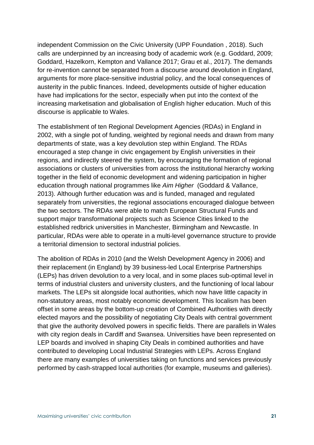independent Commission on the Civic University (UPP Foundation , 2018). Such calls are underpinned by an increasing body of academic work (e.g. Goddard, 2009; Goddard, Hazelkorn, Kempton and Vallance 2017; Grau et al., 2017). The demands for re-invention cannot be separated from a discourse around devolution in England, arguments for more place-sensitive industrial policy, and the local consequences of austerity in the public finances. Indeed, developments outside of higher education have had implications for the sector, especially when put into the context of the increasing marketisation and globalisation of English higher education. Much of this discourse is applicable to Wales.

The establishment of ten Regional Development Agencies (RDAs) in England in 2002, with a single pot of funding, weighted by regional needs and drawn from many departments of state, was a key devolution step within England. The RDAs encouraged a step change in civic engagement by English universities in their regions, and indirectly steered the system, by encouraging the formation of regional associations or clusters of universities from across the institutional hierarchy working together in the field of economic development and widening participation in higher education through national programmes like Aim Higher (Goddard & Vallance, 2013). Although further education was and is funded, managed and regulated separately from universities, the regional associations encouraged dialogue between the two sectors. The RDAs were able to match European Structural Funds and support major transformational projects such as Science Cities linked to the established redbrick universities in Manchester, Birmingham and Newcastle. In particular, RDAs were able to operate in a multi-level governance structure to provide a territorial dimension to sectoral industrial policies.

The abolition of RDAs in 2010 (and the Welsh Development Agency in 2006) and their replacement (in England) by 39 business-led Local Enterprise Partnerships (LEPs) has driven devolution to a very local, and in some places sub-optimal level in terms of industrial clusters and university clusters, and the functioning of local labour markets. The LEPs sit alongside local authorities, which now have little capacity in non-statutory areas, most notably economic development. This localism has been offset in some areas by the bottom-up creation of Combined Authorities with directly elected mayors and the possibility of negotiating City Deals with central government that give the authority devolved powers in specific fields. There are parallels in Wales with city region deals in Cardiff and Swansea. Universities have been represented on LEP boards and involved in shaping City Deals in combined authorities and have contributed to developing Local Industrial Strategies with LEPs. Across England there are many examples of universities taking on functions and services previously performed by cash-strapped local authorities (for example, museums and galleries).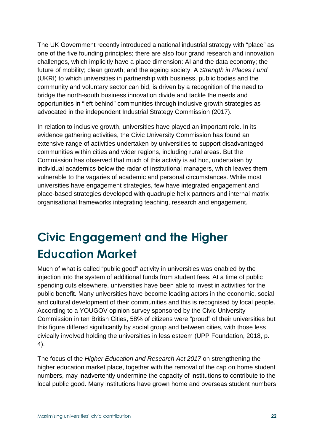The UK Government recently introduced a national industrial strategy with "place" as one of the five founding principles; there are also four grand research and innovation challenges, which implicitly have a place dimension: AI and the data economy; the future of mobility; clean growth; and the ageing society. A Strength in Places Fund (UKRI) to which universities in partnership with business, public bodies and the community and voluntary sector can bid, is driven by a recognition of the need to bridge the north-south business innovation divide and tackle the needs and opportunities in "left behind" communities through inclusive growth strategies as advocated in the independent Industrial Strategy Commission (2017).

In relation to inclusive growth, universities have played an important role. In its evidence gathering activities, the Civic University Commission has found an extensive range of activities undertaken by universities to support disadvantaged communities within cities and wider regions, including rural areas. But the Commission has observed that much of this activity is ad hoc, undertaken by individual academics below the radar of institutional managers, which leaves them vulnerable to the vagaries of academic and personal circumstances. While most universities have engagement strategies, few have integrated engagement and place-based strategies developed with quadruple helix partners and internal matrix organisational frameworks integrating teaching, research and engagement.

## **Civic Engagement and the Higher Education Market**

Much of what is called "public good" activity in universities was enabled by the injection into the system of additional funds from student fees. At a time of public spending cuts elsewhere, universities have been able to invest in activities for the public benefit. Many universities have become leading actors in the economic, social and cultural development of their communities and this is recognised by local people. According to a YOUGOV opinion survey sponsored by the Civic University Commission in ten British Cities, 58% of citizens were "proud" of their universities but this figure differed significantly by social group and between cities, with those less civically involved holding the universities in less esteem (UPP Foundation, 2018, p. 4).

The focus of the Higher Education and Research Act 2017 on strengthening the higher education market place, together with the removal of the cap on home student numbers, may inadvertently undermine the capacity of institutions to contribute to the local public good. Many institutions have grown home and overseas student numbers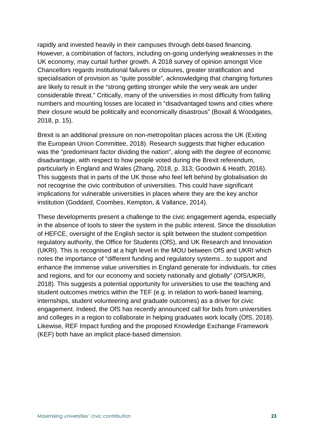rapidly and invested heavily in their campuses through debt-based financing. However, a combination of factors, including on-going underlying weaknesses in the UK economy, may curtail further growth. A 2018 survey of opinion amongst Vice Chancellors regards institutional failures or closures, greater stratification and specialisation of provision as "quite possible", acknowledging that changing fortunes are likely to result in the "strong getting stronger while the very weak are under considerable threat." Critically, many of the universities in most difficulty from falling numbers and mounting losses are located in "disadvantaged towns and cities where their closure would be politically and economically disastrous" (Boxall & Woodgates, 2018, p. 15).

Brexit is an additional pressure on non-metropolitan places across the UK (Exiting the European Union Committee, 2018). Research suggests that higher education was the "predominant factor dividing the nation", along with the degree of economic disadvantage, with respect to how people voted during the Brexit referendum, particularly in England and Wales (Zhang, 2018, p. 313; Goodwin & Heath, 2016). This suggests that in parts of the UK those who feel left behind by globalisation do not recognise the civic contribution of universities. This could have significant implications for vulnerable universities in places where they are the key anchor institution (Goddard, Coombes, Kempton, & Vallance, 2014).

These developments present a challenge to the civic engagement agenda, especially in the absence of tools to steer the system in the public interest. Since the dissolution of HEFCE, oversight of the English sector is split between the student competition regulatory authority, the Office for Students (OfS), and UK Research and Innovation (UKRI). This is recognised at a high level in the MOU between OfS and UKRI which notes the importance of "different funding and regulatory systems…to support and enhance the immense value universities in England generate for individuals, for cities and regions, and for our economy and society nationally and globally" (OfS/UKRI, 2018). This suggests a potential opportunity for universities to use the teaching and student outcomes metrics within the TEF (e.g. in relation to work-based learning, internships, student volunteering and graduate outcomes) as a driver for civic engagement. Indeed, the OfS has recently announced call for bids from universities and colleges in a region to collaborate in helping graduates work locally (OfS, 2018). Likewise, REF Impact funding and the proposed Knowledge Exchange Framework (KEF) both have an implicit place-based dimension.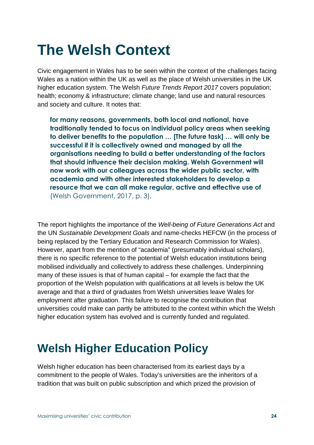## **The Welsh Context**

Civic engagement in Wales has to be seen within the context of the challenges facing Wales as a nation within the UK as well as the place of Welsh universities in the UK higher education system. The Welsh Future Trends Report 2017 covers population; health; economy & infrastructure; climate change; land use and natural resources and society and culture. It notes that:

**for many reasons, governments, both local and national, have traditionally tended to focus on individual policy areas when seeking to deliver benefits to the population … [The future task] … will only be successful if it is collectively owned and managed by all the organisations needing to build a better understanding of the factors that should influence their decision making. Welsh Government will now work with our colleagues across the wider public sector, with academia and with other interested stakeholders to develop a resource that we can all make regular, active and effective use of**  (Welsh Government, 2017, p. 3).

The report highlights the importance of the Well-being of Future Generations Act and the UN Sustainable Development Goals and name-checks HEFCW (in the process of being replaced by the Tertiary Education and Research Commission for Wales). However, apart from the mention of "academia" (presumably individual scholars), there is no specific reference to the potential of Welsh education institutions being mobilised individually and collectively to address these challenges. Underpinning many of these issues is that of human capital – for example the fact that the proportion of the Welsh population with qualifications at all levels is below the UK average and that a third of graduates from Welsh universities leave Wales for employment after graduation. This failure to recognise the contribution that universities could make can partly be attributed to the context within which the Welsh higher education system has evolved and is currently funded and regulated.

## **Welsh Higher Education Policy**

Welsh higher education has been characterised from its earliest days by a commitment to the people of Wales. Today's universities are the inheritors of a tradition that was built on public subscription and which prized the provision of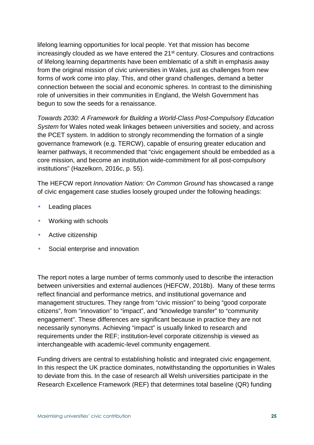lifelong learning opportunities for local people. Yet that mission has become increasingly clouded as we have entered the 21<sup>st</sup> century. Closures and contractions of lifelong learning departments have been emblematic of a shift in emphasis away from the original mission of civic universities in Wales, just as challenges from new forms of work come into play. This, and other grand challenges, demand a better connection between the social and economic spheres. In contrast to the diminishing role of universities in their communities in England, the Welsh Government has begun to sow the seeds for a renaissance.

Towards 2030: A Framework for Building a World-Class Post-Compulsory Education System for Wales noted weak linkages between universities and society, and across the PCET system. In addition to strongly recommending the formation of a single governance framework (e.g. TERCW), capable of ensuring greater education and learner pathways, it recommended that "civic engagement should be embedded as a core mission, and become an institution wide-commitment for all post-compulsory institutions" (Hazelkorn, 2016c, p. 55).

The HEFCW report Innovation Nation: On Common Ground has showcased a range of civic engagement case studies loosely grouped under the following headings:

- Leading places
- Working with schools
- Active citizenship
- Social enterprise and innovation

The report notes a large number of terms commonly used to describe the interaction between universities and external audiences (HEFCW, 2018b). Many of these terms reflect financial and performance metrics, and institutional governance and management structures. They range from "civic mission" to being "good corporate citizens", from "innovation" to "impact", and "knowledge transfer" to "community engagement". These differences are significant because in practice they are not necessarily synonyms. Achieving "impact" is usually linked to research and requirements under the REF; institution-level corporate citizenship is viewed as interchangeable with academic-level community engagement.

Funding drivers are central to establishing holistic and integrated civic engagement. In this respect the UK practice dominates, notwithstanding the opportunities in Wales to deviate from this. In the case of research all Welsh universities participate in the Research Excellence Framework (REF) that determines total baseline (QR) funding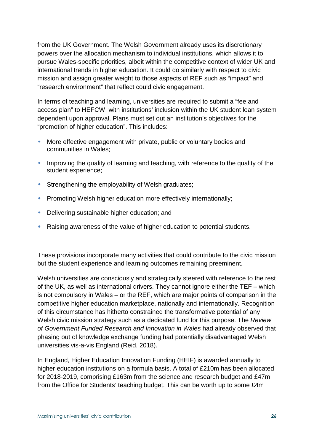from the UK Government. The Welsh Government already uses its discretionary powers over the allocation mechanism to individual institutions, which allows it to pursue Wales-specific priorities, albeit within the competitive context of wider UK and international trends in higher education. It could do similarly with respect to civic mission and assign greater weight to those aspects of REF such as "impact" and "research environment" that reflect could civic engagement.

In terms of teaching and learning, universities are required to submit a "fee and access plan" to HEFCW, with institutions' inclusion within the UK student loan system dependent upon approval. Plans must set out an institution's objectives for the "promotion of higher education". This includes:

- More effective engagement with private, public or voluntary bodies and communities in Wales;
- Improving the quality of learning and teaching, with reference to the quality of the student experience;
- Strengthening the employability of Welsh graduates;
- Promoting Welsh higher education more effectively internationally;
- Delivering sustainable higher education; and
- Raising awareness of the value of higher education to potential students.

These provisions incorporate many activities that could contribute to the civic mission but the student experience and learning outcomes remaining preeminent.

Welsh universities are consciously and strategically steered with reference to the rest of the UK, as well as international drivers. They cannot ignore either the TEF – which is not compulsory in Wales – or the REF, which are major points of comparison in the competitive higher education marketplace, nationally and internationally. Recognition of this circumstance has hitherto constrained the transformative potential of any Welsh civic mission strategy such as a dedicated fund for this purpose. The Review of Government Funded Research and Innovation in Wales had already observed that phasing out of knowledge exchange funding had potentially disadvantaged Welsh universities vis-a-vis England (Reid, 2018).

In England, Higher Education Innovation Funding (HEIF) is awarded annually to higher education institutions on a formula basis. A total of £210m has been allocated for 2018-2019, comprising £163m from the science and research budget and £47m from the Office for Students' teaching budget. This can be worth up to some £4m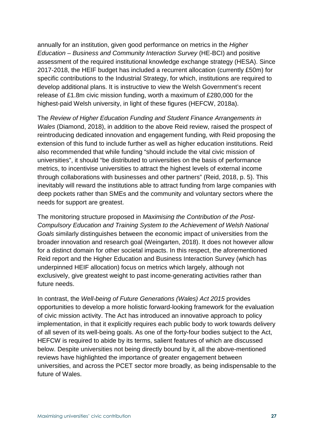annually for an institution, given good performance on metrics in the Higher Education – Business and Community Interaction Survey (HE-BCI) and positive assessment of the required institutional knowledge exchange strategy (HESA). Since 2017-2018, the HEIF budget has included a recurrent allocation (currently £50m) for specific contributions to the Industrial Strategy, for which, institutions are required to develop additional plans. It is instructive to view the Welsh Government's recent release of £1.8m civic mission funding, worth a maximum of £280,000 for the highest-paid Welsh university, in light of these figures (HEFCW, 2018a).

The Review of Higher Education Funding and Student Finance Arrangements in Wales (Diamond, 2018), in addition to the above Reid review, raised the prospect of reintroducing dedicated innovation and engagement funding, with Reid proposing the extension of this fund to include further as well as higher education institutions. Reid also recommended that while funding "should include the vital civic mission of universities", it should "be distributed to universities on the basis of performance metrics, to incentivise universities to attract the highest levels of external income through collaborations with businesses and other partners" (Reid, 2018, p. 5). This inevitably will reward the institutions able to attract funding from large companies with deep pockets rather than SMEs and the community and voluntary sectors where the needs for support are greatest.

The monitoring structure proposed in Maximising the Contribution of the Post-Compulsory Education and Training System to the Achievement of Welsh National Goals similarly distinguishes between the economic impact of universities from the broader innovation and research goal (Weingarten, 2018). It does not however allow for a distinct domain for other societal impacts. In this respect, the aforementioned Reid report and the Higher Education and Business Interaction Survey (which has underpinned HEIF allocation) focus on metrics which largely, although not exclusively, give greatest weight to past income-generating activities rather than future needs.

In contrast, the Well-being of Future Generations (Wales) Act 2015 provides opportunities to develop a more holistic forward-looking framework for the evaluation of civic mission activity. The Act has introduced an innovative approach to policy implementation, in that it explicitly requires each public body to work towards delivery of all seven of its well-being goals. As one of the forty-four bodies subject to the Act, HEFCW is required to abide by its terms, salient features of which are discussed below. Despite universities not being directly bound by it, all the above-mentioned reviews have highlighted the importance of greater engagement between universities, and across the PCET sector more broadly, as being indispensable to the future of Wales.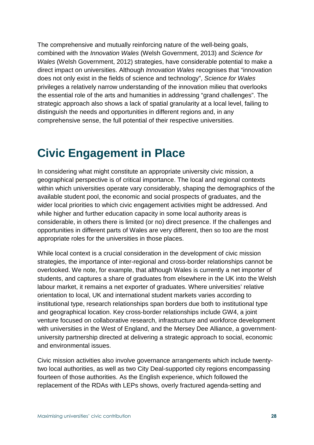The comprehensive and mutually reinforcing nature of the well-being goals, combined with the Innovation Wales (Welsh Government, 2013) and Science for Wales (Welsh Government, 2012) strategies, have considerable potential to make a direct impact on universities. Although Innovation Wales recognises that "innovation does not only exist in the fields of science and technology", Science for Wales privileges a relatively narrow understanding of the innovation milieu that overlooks the essential role of the arts and humanities in addressing "grand challenges". The strategic approach also shows a lack of spatial granularity at a local level, failing to distinguish the needs and opportunities in different regions and, in any comprehensive sense, the full potential of their respective universities.

### **Civic Engagement in Place**

In considering what might constitute an appropriate university civic mission, a geographical perspective is of critical importance. The local and regional contexts within which universities operate vary considerably, shaping the demographics of the available student pool, the economic and social prospects of graduates, and the wider local priorities to which civic engagement activities might be addressed. And while higher and further education capacity in some local authority areas is considerable, in others there is limited (or no) direct presence. If the challenges and opportunities in different parts of Wales are very different, then so too are the most appropriate roles for the universities in those places.

While local context is a crucial consideration in the development of civic mission strategies, the importance of inter-regional and cross-border relationships cannot be overlooked. We note, for example, that although Wales is currently a net importer of students, and captures a share of graduates from elsewhere in the UK into the Welsh labour market, it remains a net exporter of graduates. Where universities' relative orientation to local, UK and international student markets varies according to institutional type, research relationships span borders due both to institutional type and geographical location. Key cross-border relationships include GW4, a joint venture focused on collaborative research, infrastructure and workforce development with universities in the West of England, and the Mersey Dee Alliance, a governmentuniversity partnership directed at delivering a strategic approach to social, economic and environmental issues.

Civic mission activities also involve governance arrangements which include twentytwo local authorities, as well as two City Deal-supported city regions encompassing fourteen of those authorities. As the English experience, which followed the replacement of the RDAs with LEPs shows, overly fractured agenda-setting and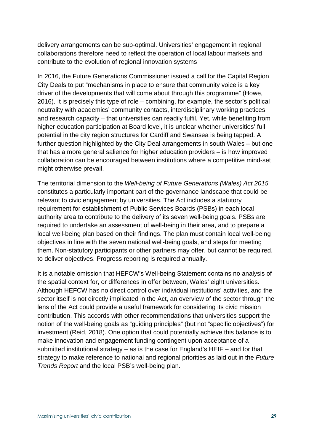delivery arrangements can be sub-optimal. Universities' engagement in regional collaborations therefore need to reflect the operation of local labour markets and contribute to the evolution of regional innovation systems

In 2016, the Future Generations Commissioner issued a call for the Capital Region City Deals to put "mechanisms in place to ensure that community voice is a key driver of the developments that will come about through this programme" (Howe, 2016). It is precisely this type of role – combining, for example, the sector's political neutrality with academics' community contacts, interdisciplinary working practices and research capacity – that universities can readily fulfil. Yet, while benefiting from higher education participation at Board level, it is unclear whether universities' full potential in the city region structures for Cardiff and Swansea is being tapped. A further question highlighted by the City Deal arrangements in south Wales – but one that has a more general salience for higher education providers – is how improved collaboration can be encouraged between institutions where a competitive mind-set might otherwise prevail.

The territorial dimension to the Well-being of Future Generations (Wales) Act 2015 constitutes a particularly important part of the governance landscape that could be relevant to civic engagement by universities. The Act includes a statutory requirement for establishment of Public Services Boards (PSBs) in each local authority area to contribute to the delivery of its seven well-being goals. PSBs are required to undertake an assessment of well-being in their area, and to prepare a local well-being plan based on their findings. The plan must contain local well-being objectives in line with the seven national well-being goals, and steps for meeting them. Non-statutory participants or other partners may offer, but cannot be required, to deliver objectives. Progress reporting is required annually.

It is a notable omission that HEFCW's Well-being Statement contains no analysis of the spatial context for, or differences in offer between, Wales' eight universities. Although HEFCW has no direct control over individual institutions' activities, and the sector itself is not directly implicated in the Act, an overview of the sector through the lens of the Act could provide a useful framework for considering its civic mission contribution. This accords with other recommendations that universities support the notion of the well-being goals as "guiding principles" (but not "specific objectives") for investment (Reid, 2018). One option that could potentially achieve this balance is to make innovation and engagement funding contingent upon acceptance of a submitted institutional strategy – as is the case for England's HEIF – and for that strategy to make reference to national and regional priorities as laid out in the Future Trends Report and the local PSB's well-being plan.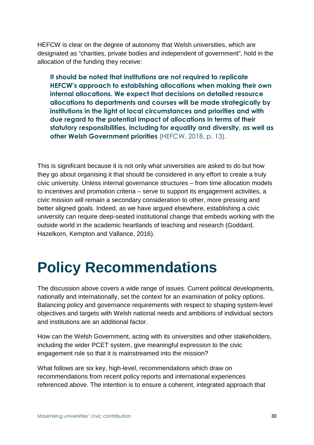HEFCW is clear on the degree of autonomy that Welsh universities, which are designated as "charities, private bodies and independent of government", hold in the allocation of the funding they receive:

**It should be noted that institutions are not required to replicate HEFCW's approach to establishing allocations when making their own internal allocations. We expect that decisions on detailed resource allocations to departments and courses will be made strategically by institutions in the light of local circumstances and priorities and with due regard to the potential impact of allocations in terms of their statutory responsibilities, including for equality and diversity, as well as other Welsh Government priorities** (HEFCW, 2018, p. 13).

This is significant because it is not only what universities are asked to do but how they go about organising it that should be considered in any effort to create a truly civic university. Unless internal governance structures – from time allocation models to incentives and promotion criteria – serve to support its engagement activities, a civic mission will remain a secondary consideration to other, more pressing and better aligned goals. Indeed, as we have argued elsewhere, establishing a civic university can require deep-seated institutional change that embeds working with the outside world in the academic heartlands of teaching and research (Goddard, Hazelkorn, Kempton and Vallance, 2016).

## **Policy Recommendations**

The discussion above covers a wide range of issues. Current political developments, nationally and internationally, set the context for an examination of policy options. Balancing policy and governance requirements with respect to shaping system-level objectives and targets with Welsh national needs and ambitions of individual sectors and institutions are an additional factor.

How can the Welsh Government, acting with its universities and other stakeholders, including the wider PCET system, give meaningful expression to the civic engagement role so that it is mainstreamed into the mission?

What follows are six key, high-level, recommendations which draw on recommendations from recent policy reports and international experiences referenced above. The intention is to ensure a coherent, integrated approach that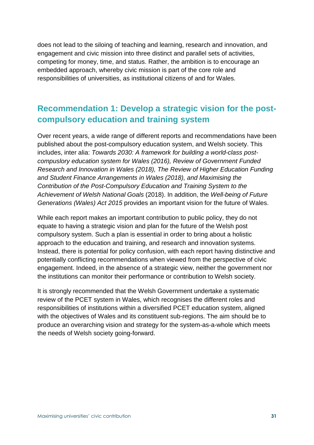does not lead to the siloing of teaching and learning, research and innovation, and engagement and civic mission into three distinct and parallel sets of activities, competing for money, time, and status. Rather, the ambition is to encourage an embedded approach, whereby civic mission is part of the core role and responsibilities of universities, as institutional citizens of and for Wales.

### **Recommendation 1: Develop a strategic vision for the postcompulsory education and training system**

Over recent years, a wide range of different reports and recommendations have been published about the post-compulsory education system, and Welsh society. This includes, inter alia: Towards 2030: A framework for building a world-class postcompuslory education system for Wales (2016), Review of Government Funded Research and Innovation in Wales (2018), The Review of Higher Education Funding and Student Finance Arrangements in Wales (2018), and Maximising the Contribution of the Post-Compulsory Education and Training System to the Achievement of Welsh National Goals (2018). In addition, the Well-being of Future Generations (Wales) Act 2015 provides an important vision for the future of Wales.

While each report makes an important contribution to public policy, they do not equate to having a strategic vision and plan for the future of the Welsh post compulsory system. Such a plan is essential in order to bring about a holistic approach to the education and training, and research and innovation systems. Instead, there is potential for policy confusion, with each report having distinctive and potentially conflicting recommendations when viewed from the perspective of civic engagement. Indeed, in the absence of a strategic view, neither the government nor the institutions can monitor their performance or contribution to Welsh society.

It is strongly recommended that the Welsh Government undertake a systematic review of the PCET system in Wales, which recognises the different roles and responsibilities of institutions within a diversified PCET education system, aligned with the objectives of Wales and its constituent sub-regions. The aim should be to produce an overarching vision and strategy for the system-as-a-whole which meets the needs of Welsh society going-forward.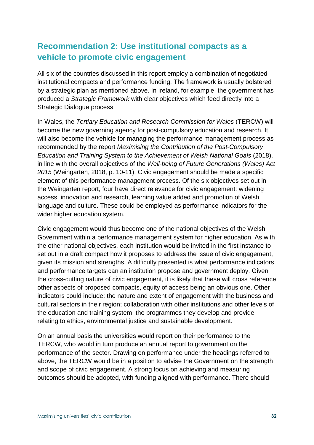### **Recommendation 2: Use institutional compacts as a vehicle to promote civic engagement**

All six of the countries discussed in this report employ a combination of negotiated institutional compacts and performance funding. The framework is usually bolstered by a strategic plan as mentioned above. In Ireland, for example, the government has produced a Strategic Framework with clear objectives which feed directly into a Strategic Dialogue process.

In Wales, the Tertiary Education and Research Commission for Wales (TERCW) will become the new governing agency for post-compulsory education and research. It will also become the vehicle for managing the performance management process as recommended by the report Maximising the Contribution of the Post-Compulsory Education and Training System to the Achievement of Welsh National Goals (2018), in line with the overall objectives of the Well-being of Future Generations (Wales) Act 2015 (Weingarten, 2018, p. 10-11). Civic engagement should be made a specific element of this performance management process. Of the six objectives set out in the Weingarten report, four have direct relevance for civic engagement: widening access, innovation and research, learning value added and promotion of Welsh language and culture. These could be employed as performance indicators for the wider higher education system.

Civic engagement would thus become one of the national objectives of the Welsh Government within a performance management system for higher education. As with the other national objectives, each institution would be invited in the first instance to set out in a draft compact how it proposes to address the issue of civic engagement, given its mission and strengths. A difficulty presented is what performance indicators and performance targets can an institution propose and government deploy. Given the cross-cutting nature of civic engagement, it is likely that these will cross reference other aspects of proposed compacts, equity of access being an obvious one. Other indicators could include: the nature and extent of engagement with the business and cultural sectors in their region; collaboration with other institutions and other levels of the education and training system; the programmes they develop and provide relating to ethics, environmental justice and sustainable development.

On an annual basis the universities would report on their performance to the TERCW, who would in turn produce an annual report to government on the performance of the sector. Drawing on performance under the headings referred to above, the TERCW would be in a position to advise the Government on the strength and scope of civic engagement. A strong focus on achieving and measuring outcomes should be adopted, with funding aligned with performance. There should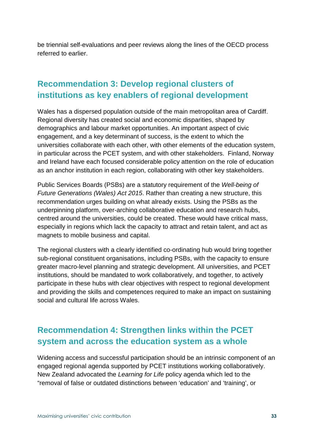be triennial self-evaluations and peer reviews along the lines of the OECD process referred to earlier.

### **Recommendation 3: Develop regional clusters of institutions as key enablers of regional development**

Wales has a dispersed population outside of the main metropolitan area of Cardiff. Regional diversity has created social and economic disparities, shaped by demographics and labour market opportunities. An important aspect of civic engagement, and a key determinant of success, is the extent to which the universities collaborate with each other, with other elements of the education system, in particular across the PCET system, and with other stakeholders. Finland, Norway and Ireland have each focused considerable policy attention on the role of education as an anchor institution in each region, collaborating with other key stakeholders.

Public Services Boards (PSBs) are a statutory requirement of the Well-being of Future Generations (Wales) Act 2015. Rather than creating a new structure, this recommendation urges building on what already exists. Using the PSBs as the underpinning platform, over-arching collaborative education and research hubs, centred around the universities, could be created. These would have critical mass, especially in regions which lack the capacity to attract and retain talent, and act as magnets to mobile business and capital.

The regional clusters with a clearly identified co-ordinating hub would bring together sub-regional constituent organisations, including PSBs, with the capacity to ensure greater macro-level planning and strategic development. All universities, and PCET institutions, should be mandated to work collaboratively, and together, to actively participate in these hubs with clear objectives with respect to regional development and providing the skills and competences required to make an impact on sustaining social and cultural life across Wales.

### **Recommendation 4: Strengthen links within the PCET system and across the education system as a whole**

Widening access and successful participation should be an intrinsic component of an engaged regional agenda supported by PCET institutions working collaboratively. New Zealand advocated the Learning for Life policy agenda which led to the "removal of false or outdated distinctions between 'education' and 'training', or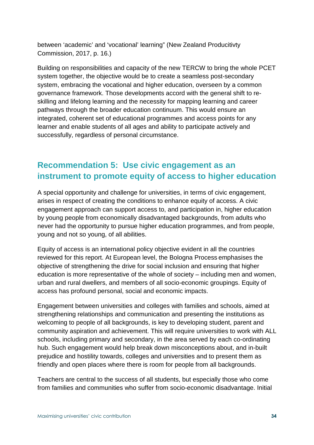between 'academic' and 'vocational' learning" (New Zealand Producitivty Commission, 2017, p. 16.)

Building on responsibilities and capacity of the new TERCW to bring the whole PCET system together, the objective would be to create a seamless post-secondary system, embracing the vocational and higher education, overseen by a common governance framework. Those developments accord with the general shift to reskilling and lifelong learning and the necessity for mapping learning and career pathways through the broader education continuum. This would ensure an integrated, coherent set of educational programmes and access points for any learner and enable students of all ages and ability to participate actively and successfully, regardless of personal circumstance.

### **Recommendation 5: Use civic engagement as an instrument to promote equity of access to higher education**

A special opportunity and challenge for universities, in terms of civic engagement, arises in respect of creating the conditions to enhance equity of access. A civic engagement approach can support access to, and participation in, higher education by young people from economically disadvantaged backgrounds, from adults who never had the opportunity to pursue higher education programmes, and from people, young and not so young, of all abilities.

Equity of access is an international policy objective evident in all the countries reviewed for this report. At European level, the Bologna Process emphasises the objective of strengthening the drive for social inclusion and ensuring that higher education is more representative of the whole of society – including men and women, urban and rural dwellers, and members of all socio-economic groupings. Equity of access has profound personal, social and economic impacts.

Engagement between universities and colleges with families and schools, aimed at strengthening relationships and communication and presenting the institutions as welcoming to people of all backgrounds, is key to developing student, parent and community aspiration and achievement. This will require universities to work with ALL schools, including primary and secondary, in the area served by each co-ordinating hub. Such engagement would help break down misconceptions about, and in-built prejudice and hostility towards, colleges and universities and to present them as friendly and open places where there is room for people from all backgrounds.

Teachers are central to the success of all students, but especially those who come from families and communities who suffer from socio-economic disadvantage. Initial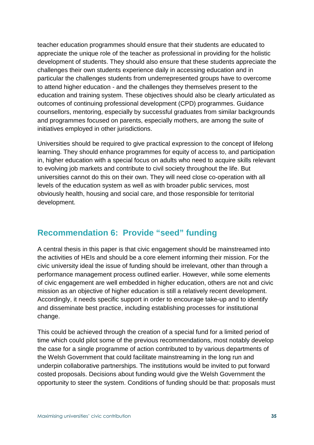teacher education programmes should ensure that their students are educated to appreciate the unique role of the teacher as professional in providing for the holistic development of students. They should also ensure that these students appreciate the challenges their own students experience daily in accessing education and in particular the challenges students from underrepresented groups have to overcome to attend higher education - and the challenges they themselves present to the education and training system. These objectives should also be clearly articulated as outcomes of continuing professional development (CPD) programmes. Guidance counsellors, mentoring, especially by successful graduates from similar backgrounds and programmes focused on parents, especially mothers, are among the suite of initiatives employed in other jurisdictions.

Universities should be required to give practical expression to the concept of lifelong learning. They should enhance programmes for equity of access to, and participation in, higher education with a special focus on adults who need to acquire skills relevant to evolving job markets and contribute to civil society throughout the life. But universities cannot do this on their own. They will need close co-operation with all levels of the education system as well as with broader public services, most obviously health, housing and social care, and those responsible for territorial development.

#### **Recommendation 6: Provide "seed" funding**

A central thesis in this paper is that civic engagement should be mainstreamed into the activities of HEIs and should be a core element informing their mission. For the civic university ideal the issue of funding should be irrelevant, other than through a performance management process outlined earlier. However, while some elements of civic engagement are well embedded in higher education, others are not and civic mission as an objective of higher education is still a relatively recent development. Accordingly, it needs specific support in order to encourage take-up and to identify and disseminate best practice, including establishing processes for institutional change.

This could be achieved through the creation of a special fund for a limited period of time which could pilot some of the previous recommendations, most notably develop the case for a single programme of action contributed to by various departments of the Welsh Government that could facilitate mainstreaming in the long run and underpin collaborative partnerships. The institutions would be invited to put forward costed proposals. Decisions about funding would give the Welsh Government the opportunity to steer the system. Conditions of funding should be that: proposals must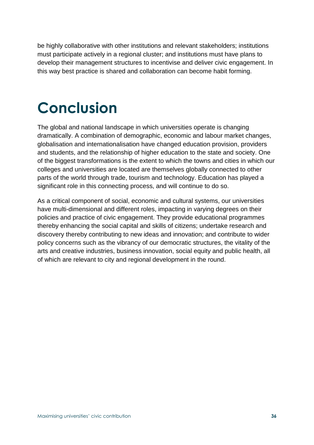be highly collaborative with other institutions and relevant stakeholders; institutions must participate actively in a regional cluster; and institutions must have plans to develop their management structures to incentivise and deliver civic engagement. In this way best practice is shared and collaboration can become habit forming.

## **Conclusion**

The global and national landscape in which universities operate is changing dramatically. A combination of demographic, economic and labour market changes, globalisation and internationalisation have changed education provision, providers and students, and the relationship of higher education to the state and society. One of the biggest transformations is the extent to which the towns and cities in which our colleges and universities are located are themselves globally connected to other parts of the world through trade, tourism and technology. Education has played a significant role in this connecting process, and will continue to do so.

As a critical component of social, economic and cultural systems, our universities have multi-dimensional and different roles, impacting in varying degrees on their policies and practice of civic engagement. They provide educational programmes thereby enhancing the social capital and skills of citizens; undertake research and discovery thereby contributing to new ideas and innovation; and contribute to wider policy concerns such as the vibrancy of our democratic structures, the vitality of the arts and creative industries, business innovation, social equity and public health, all of which are relevant to city and regional development in the round.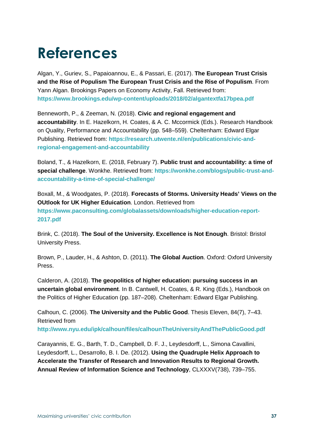# **References**

Algan, Y., Guriev, S., Papaioannou, E., & Passari, E. (2017). **The European Trust Crisis and the Rise of Populism The European Trust Crisis and the Rise of Populism**. From Yann Algan. Brookings Papers on Economy Activity, Fall. Retrieved from: **https://www.brookings.edu/wp-content/uploads/2018/02/algantextfa17bpea.pdf**

Benneworth, P., & Zeeman, N. (2018). **Civic and regional engagement and accountability**. In E. Hazelkorn, H. Coates, & A. C. Mccormick (Eds.). Research Handbook on Quality, Performance and Accountability (pp. 548–559). Cheltenham: Edward Elgar Publishing. Retrieved from: **https://research.utwente.nl/en/publications/civic-andregional-engagement-and-accountability**

Boland, T., & Hazelkorn, E. (2018, February 7). **Public trust and accountability: a time of special challenge**. Wonkhe. Retrieved from: **https://wonkhe.com/blogs/public-trust-andaccountability-a-time-of-special-challenge/**

Boxall, M., & Woodgates, P. (2018). **Forecasts of Storms. University Heads' Views on the OUtlook for UK Higher Eduication**. London. Retrieved from **https://www.paconsulting.com/globalassets/downloads/higher-education-report-2017.pdf**

Brink, C. (2018). **The Soul of the University. Excellence is Not Enough**. Bristol: Bristol University Press.

Brown, P., Lauder, H., & Ashton, D. (2011). **The Global Auction**. Oxford: Oxford University Press.

Calderon, A. (2018). **The geopolitics of higher education: pursuing success in an uncertain global environment**. In B. Cantwell, H. Coates, & R. King (Eds.), Handbook on the Politics of Higher Education (pp. 187–208). Cheltenham: Edward Elgar Publishing.

Calhoun, C. (2006). **The University and the Public Good**. Thesis Eleven, 84(7), 7–43. Retrieved from **http://www.nyu.edu/ipk/calhoun/files/calhounTheUniversityAndThePublicGood.pdf**

Carayannis, E. G., Barth, T. D., Campbell, D. F. J., Leydesdorff, L., Simona Cavallini, Leydesdorff, L., Desarrollo, B. I. De. (2012). **Using the Quadruple Helix Approach to Accelerate the Transfer of Research and Innovation Results to Regional Growth. Annual Review of Information Science and Technology**, CLXXXV(738), 739–755.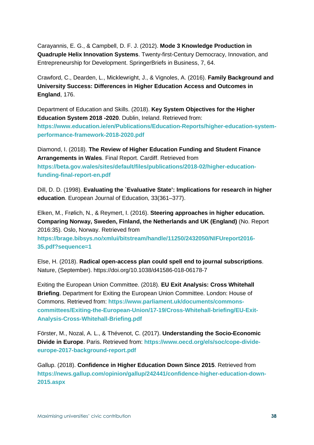Carayannis, E. G., & Campbell, D. F. J. (2012). **Mode 3 Knowledge Production in Quadruple Helix Innovation Systems**. Twenty-first-Century Democracy, Innovation, and Entrepreneurship for Development. SpringerBriefs in Business, 7, 64.

Crawford, C., Dearden, L., Micklewright, J., & Vignoles, A. (2016). **Family Background and University Success: Differences in Higher Education Access and Outcomes in England**, 176.

Department of Education and Skills. (2018). **Key System Objectives for the Higher Education System 2018 -2020**. Dublin, Ireland. Retrieved from: **https://www.education.ie/en/Publications/Education-Reports/higher-education-systemperformance-framework-2018-2020.pdf**

Diamond, I. (2018). **The Review of Higher Education Funding and Student Finance Arrangements in Wales**. Final Report. Cardiff. Retrieved from **https://beta.gov.wales/sites/default/files/publications/2018-02/higher-educationfunding-final-report-en.pdf**

Dill, D. D. (1998). **Evaluating the `Evaluative State': Implications for research in higher education**. European Journal of Education, 33(361–377).

Elken, M., Frølich, N., & Reymert, I. (2016). **Steering approaches in higher education. Comparing Norway, Sweden, Finland, the Netherlands and UK (England)** (No. Report 2016:35). Oslo, Norway. Retrieved from

**https://brage.bibsys.no/xmlui/bitstream/handle/11250/2432050/NIFUreport2016- 35.pdf?sequence=1**

Else, H. (2018). **Radical open-access plan could spell end to journal subscriptions**. Nature, (September). https://doi.org/10.1038/d41586-018-06178-7

Exiting the European Union Committee. (2018). **EU Exit Analysis: Cross Whitehall Briefing**. Department for Exiting the European Union Committee. London: House of Commons. Retrieved from: **https://www.parliament.uk/documents/commonscommittees/Exiting-the-European-Union/17-19/Cross-Whitehall-briefing/EU-Exit-Analysis-Cross-Whitehall-Briefing.pdf**

Förster, M., Nozal, A. L., & Thévenot, C. (2017). **Understanding the Socio-Economic Divide in Europe**. Paris. Retrieved from: **https://www.oecd.org/els/soc/cope-divideeurope-2017-background-report.pdf**

Gallup. (2018). **Confidence in Higher Education Down Since 2015**. Retrieved from **https://news.gallup.com/opinion/gallup/242441/confidence-higher-education-down-2015.aspx**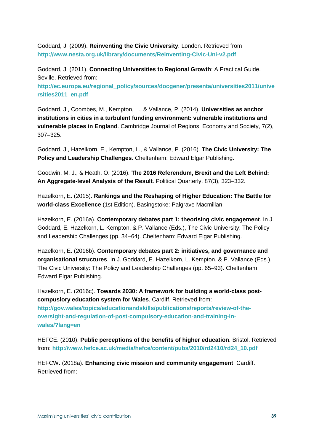Goddard, J. (2009). **Reinventing the Civic University**. London. Retrieved from **http://www.nesta.org.uk/library/documents/Reinventing-Civic-Uni-v2.pdf**

Goddard, J. (2011). **Connecting Universities to Regional Growth**: A Practical Guide. Seville. Retrieved from:

**http://ec.europa.eu/regional\_policy/sources/docgener/presenta/universities2011/unive rsities2011\_en.pdf**

Goddard, J., Coombes, M., Kempton, L., & Vallance, P. (2014). **Universities as anchor institutions in cities in a turbulent funding environment: vulnerable institutions and vulnerable places in England**. Cambridge Journal of Regions, Economy and Society, 7(2), 307–325.

Goddard, J., Hazelkorn, E., Kempton, L., & Vallance, P. (2016). **The Civic University: The Policy and Leadership Challenges**. Cheltenham: Edward Elgar Publishing.

Goodwin, M. J., & Heath, O. (2016). **The 2016 Referendum, Brexit and the Left Behind: An Aggregate-level Analysis of the Result**. Political Quarterly, 87(3), 323–332.

Hazelkorn, E. (2015). **Rankings and the Reshaping of Higher Education: The Battle for world-class Excellence** (1st Edition). Basingstoke: Palgrave Macmillan.

Hazelkorn, E. (2016a). **Contemporary debates part 1: theorising civic engagement**. In J. Goddard, E. Hazelkorn, L. Kempton, & P. Vallance (Eds.), The Civic University: The Policy and Leadership Challenges (pp. 34–64). Cheltenham: Edward Elgar Publishing.

Hazelkorn, E. (2016b). **Contemporary debates part 2: initiatives, and governance and organisational structures**. In J. Goddard, E. Hazelkorn, L. Kempton, & P. Vallance (Eds.), The Civic University: The Policy and Leadership Challenges (pp. 65–93). Cheltenham: Edward Elgar Publishing.

Hazelkorn, E. (2016c). **Towards 2030: A framework for building a world-class postcompuslory education system for Wales**. Cardiff. Retrieved from: **http://gov.wales/topics/educationandskills/publications/reports/review-of-theoversight-and-regulation-of-post-compulsory-education-and-training-inwales/?lang=en**

HEFCE. (2010). **Public perceptions of the benefits of higher education**. Bristol. Retrieved from: **http://www.hefce.ac.uk/media/hefce/content/pubs/2010/rd2410/rd24\_10.pdf**

HEFCW. (2018a). **Enhancing civic mission and community engagement**. Cardiff. Retrieved from: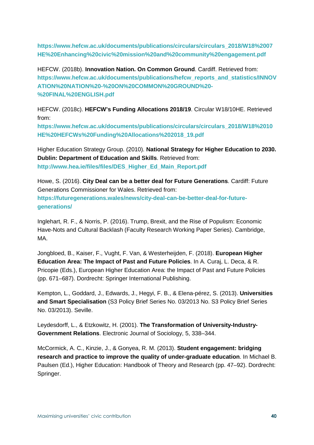**https://www.hefcw.ac.uk/documents/publications/circulars/circulars\_2018/W18%2007 HE%20Enhancing%20civic%20mission%20and%20community%20engagement.pdf**

HEFCW. (2018b). **Innovation Nation. On Common Ground**. Cardiff. Retrieved from: **https://www.hefcw.ac.uk/documents/publications/hefcw\_reports\_and\_statistics/INNOV ATION%20NATION%20-%20ON%20COMMON%20GROUND%20- %20FINAL%20ENGLISH.pdf**

HEFCW. (2018c). **HEFCW's Funding Allocations 2018/19**. Circular W18/10HE. Retrieved from:

**https://www.hefcw.ac.uk/documents/publications/circulars/circulars\_2018/W18%2010 HE%20HEFCWs%20Funding%20Allocations%202018\_19.pdf**

Higher Education Strategy Group. (2010). **National Strategy for Higher Education to 2030. Dublin: Department of Education and Skills**. Retrieved from: **http://www.hea.ie/files/files/DES\_Higher\_Ed\_Main\_Report.pdf**

Howe, S. (2016). **City Deal can be a better deal for Future Generations**. Cardiff: Future Generations Commissioner for Wales. Retrieved from: **https://futuregenerations.wales/news/city-deal-can-be-better-deal-for-futuregenerations/**

Inglehart, R. F., & Norris, P. (2016). Trump, Brexit, and the Rise of Populism: Economic Have-Nots and Cultural Backlash (Faculty Research Working Paper Series). Cambridge, MA.

Jongbloed, B., Kaiser, F., Vught, F. Van, & Westerheijden, F. (2018). **European Higher Education Area: The Impact of Past and Future Policies**. In A. Curaj, L. Deca, & R. Pricopie (Eds.), European Higher Education Area: the Impact of Past and Future Policies (pp. 671–687). Dordrecht: Springer International Publishing.

Kempton, L., Goddard, J., Edwards, J., Hegyi, F. B., & Elena-pérez, S. (2013). **Universities and Smart Specialisation** (S3 Policy Brief Series No. 03/2013 No. S3 Policy Brief Series No. 03/2013). Seville.

Leydesdorff, L., & Etzkowitz, H. (2001). **The Transformation of University-Industry-Government Relations**. Electronic Journal of Sociology, 5, 338–344.

McCormick, A. C., Kinzie, J., & Gonyea, R. M. (2013). **Student engagement: bridging research and practice to improve the quality of under-graduate education**. In Michael B. Paulsen (Ed.), Higher Education: Handbook of Theory and Research (pp. 47–92). Dordrecht: Springer.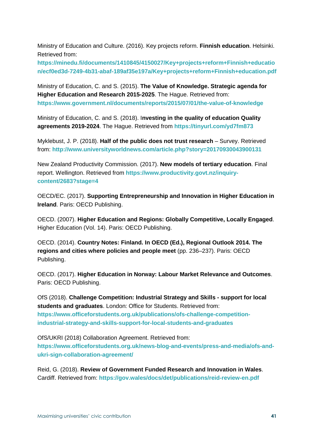Ministry of Education and Culture. (2016). Key projects reform. **Finnish education**. Helsinki. Retrieved from:

**https://minedu.fi/documents/1410845/4150027/Key+projects+reform+Finnish+educatio n/ecf0ed3d-7249-4b31-abaf-189af35e197a/Key+projects+reform+Finnish+education.pdf**

Ministry of Education, C. and S. (2015). **The Value of Knowledge. Strategic agenda for Higher Education and Research 2015-2025**. The Hague. Retrieved from: **https://www.government.nl/documents/reports/2015/07/01/the-value-of-knowledge**

Ministry of Education, C. and S. (2018). I**nvesting in the quality of education Quality agreements 2019-2024**. The Hague. Retrieved from **https://tinyurl.com/yd7fm873**

Myklebust, J. P. (2018). **Half of the public does not trust research** – Survey. Retrieved from: **http://www.universityworldnews.com/article.php?story=20170930043900131**

New Zealand Productivity Commission. (2017). **New models of tertiary education**. Final report. Wellington. Retrieved from **https://www.productivity.govt.nz/inquirycontent/2683?stage=4**

OECD/EC. (2017). **Supporting Entrepreneurship and Innovation in Higher Education in Ireland**. Paris: OECD Publishing.

OECD. (2007). **Higher Education and Regions: Globally Competitive, Locally Engaged**. Higher Education (Vol. 14). Paris: OECD Publishing.

OECD. (2014). **Country Notes: Finland. In OECD (Ed.), Regional Outlook 2014. The regions and cities where policies and people meet** (pp. 236–237). Paris: OECD Publishing.

OECD. (2017). **Higher Education in Norway: Labour Market Relevance and Outcomes**. Paris: OECD Publishing.

OfS (2018). **Challenge Competition: Industrial Strategy and Skills - support for local students and graduates**. London: Office for Students. Retrieved from: **https://www.officeforstudents.org.uk/publications/ofs-challenge-competitionindustrial-strategy-and-skills-support-for-local-students-and-graduates**

OfS/UKRI (2018) Collaboration Agreement. Retrieved from: **https://www.officeforstudents.org.uk/news-blog-and-events/press-and-media/ofs-andukri-sign-collaboration-agreement/**

Reid, G. (2018). **Review of Government Funded Research and Innovation in Wales**. Cardiff. Retrieved from: **https://gov.wales/docs/det/publications/reid-review-en.pdf**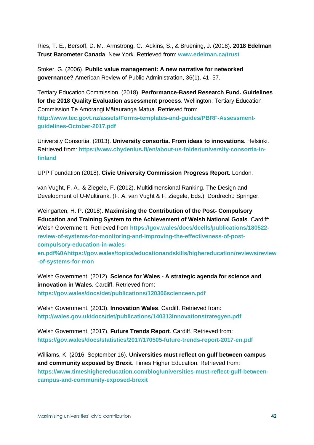Ries, T. E., Bersoff, D. M., Armstrong, C., Adkins, S., & Bruening, J. (2018). **2018 Edelman Trust Barometer Canada**. New York. Retrieved from: **www.edelman.ca/trust**

Stoker, G. (2006). **Public value management: A new narrative for networked governance?** American Review of Public Administration, 36(1), 41–57.

Tertiary Education Commission. (2018). **Performance-Based Research Fund. Guidelines for the 2018 Quality Evaluation assessment process**. Wellington: Tertiary Education Commission Te Amorangi Mātauranga Matua. Retrieved from: **http://www.tec.govt.nz/assets/Forms-templates-and-guides/PBRF-Assessmentguidelines-October-2017.pdf**

University Consortia. (2013). **University consortia. From ideas to innovations**. Helsinki. Retrieved from: **https://www.chydenius.fi/en/about-us-folder/university-consortia-infinland**

UPP Foundation (2018). **Civic University Commission Progress Report**. London.

van Vught, F. A., & Ziegele, F. (2012). Multidimensional Ranking. The Design and Development of U-Multirank. (F. A. van Vught & F. Ziegele, Eds.). Dordrecht: Springer.

Weingarten, H. P. (2018). **Maximising the Contribution of the Post- Compulsory Education and Training System to the Achievement of Welsh National Goals**. Cardiff: Welsh Government. Retrieved from **https://gov.wales/docs/dcells/publications/180522 review-of-systems-for-monitoring-and-improving-the-effectiveness-of-postcompulsory-education-in-wales-**

**en.pdf%0Ahttps://gov.wales/topics/educationandskills/highereducation/reviews/review -of-systems-for-mon**

Welsh Government. (2012). **Science for Wales - A strategic agenda for science and innovation in Wales**. Cardiff. Retrieved from: **https://gov.wales/docs/det/publications/120306scienceen.pdf**

Welsh Government. (2013). **Innovation Wales**. Cardiff. Retrieved from: **http://wales.gov.uk/docs/det/publications/140313innovationstrategyen.pdf**

Welsh Government. (2017). **Future Trends Report**. Cardiff. Retrieved from: **https://gov.wales/docs/statistics/2017/170505-future-trends-report-2017-en.pdf**

Williams, K. (2016, September 16). **Universities must reflect on gulf between campus and community exposed by Brexit**. Times Higher Education. Retrieved from: **https://www.timeshighereducation.com/blog/universities-must-reflect-gulf-betweencampus-and-community-exposed-brexit**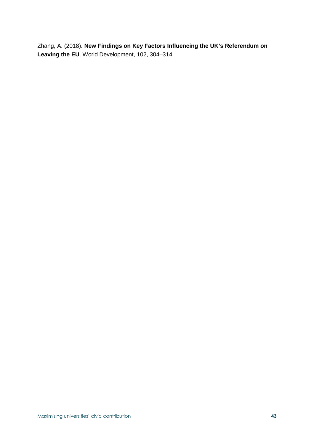Zhang, A. (2018). **New Findings on Key Factors Influencing the UK's Referendum on Leaving the EU**. World Development, 102, 304–314